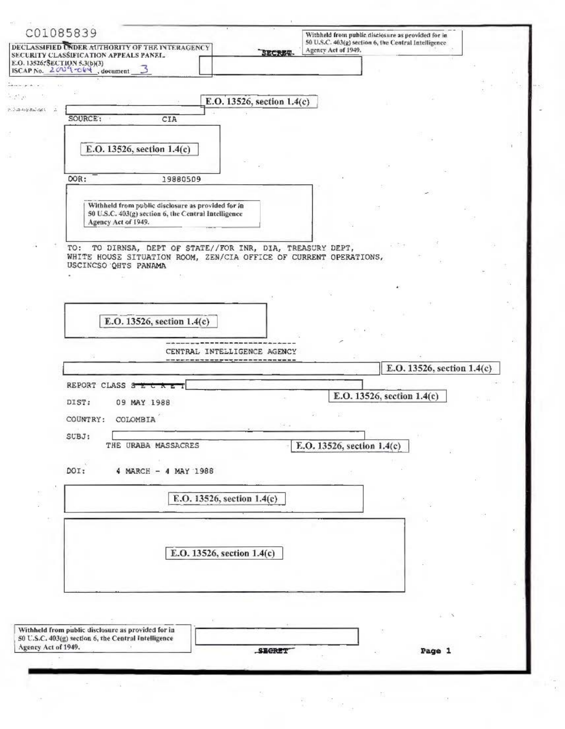|                                                        | C01085839<br>DECLASSIFIED UNDER AUTHORITY OF THE INTERAGENCY                              |                            | Withheld from public disclosure as provided for in-<br>50 U.S.C. 403(g) section 6, the Central Intelligence. |                            |  |
|--------------------------------------------------------|-------------------------------------------------------------------------------------------|----------------------------|--------------------------------------------------------------------------------------------------------------|----------------------------|--|
|                                                        | SECURITY CLASSIFICATION APPEALS PANEL.                                                    | <b>SECRET</b>              | Agency Act of 1949.                                                                                          |                            |  |
|                                                        | E.O. 13526; SECTION 5.3(b)(3)<br>ISCAP No. 2009 TOEM, document 3                          |                            |                                                                                                              |                            |  |
|                                                        |                                                                                           |                            |                                                                                                              |                            |  |
| 35 O                                                   |                                                                                           | E.O. 13526, section 1.4(c) |                                                                                                              |                            |  |
| $2.5.3 - 4.69$ Bai-dips<br>$\mathcal{L}_{\mathcal{A}}$ |                                                                                           |                            |                                                                                                              |                            |  |
|                                                        | SOURCE:<br>CIA                                                                            |                            |                                                                                                              |                            |  |
|                                                        |                                                                                           |                            |                                                                                                              |                            |  |
|                                                        | E.O. 13526, section 1.4(c)                                                                |                            |                                                                                                              |                            |  |
|                                                        |                                                                                           |                            |                                                                                                              |                            |  |
|                                                        | DOR:<br>19880509                                                                          |                            |                                                                                                              |                            |  |
|                                                        |                                                                                           |                            |                                                                                                              |                            |  |
|                                                        | Withheld from public disclosure as provided for in                                        |                            |                                                                                                              |                            |  |
|                                                        | 50 U.S.C. 403(g) section 6, the Central Intelligence<br>Agency Act of 1949.               |                            |                                                                                                              |                            |  |
|                                                        |                                                                                           |                            |                                                                                                              |                            |  |
|                                                        | TO: TO DIRNSA, DEPT OF STATE//FOR INR, DIA, TREASURY DEPT,                                |                            | $\frac{1}{2}$ $\frac{1}{2}$ +                                                                                |                            |  |
|                                                        | WHITE HOUSE SITUATION ROOM, ZEN/CIA OFFICE OF CURRENT OPERATIONS,<br>USCINCSO QHTS PANAMA |                            |                                                                                                              |                            |  |
|                                                        |                                                                                           |                            |                                                                                                              |                            |  |
|                                                        |                                                                                           |                            |                                                                                                              |                            |  |
|                                                        |                                                                                           |                            |                                                                                                              |                            |  |
|                                                        | E.O. 13526, section 1.4(c)                                                                |                            |                                                                                                              |                            |  |
|                                                        |                                                                                           |                            |                                                                                                              |                            |  |
|                                                        |                                                                                           |                            |                                                                                                              |                            |  |
|                                                        | CENTRAL INTELLIGENCE AGENCY                                                               |                            |                                                                                                              |                            |  |
|                                                        |                                                                                           |                            |                                                                                                              | E.O. 13526, section 1.4(c) |  |
|                                                        | REPORT CLASS SECRE                                                                        |                            |                                                                                                              |                            |  |
|                                                        |                                                                                           |                            | E.O. 13526, section 1.4(c)                                                                                   |                            |  |
|                                                        | DIST:<br>09 MAY 1988                                                                      |                            |                                                                                                              |                            |  |
|                                                        | COUNTRY:<br>COLOMBIA                                                                      |                            |                                                                                                              |                            |  |
|                                                        | SUBJ:                                                                                     |                            |                                                                                                              |                            |  |
|                                                        | THE URABA MASSACRES                                                                       |                            | E.O. 13526, section 1.4(c)                                                                                   |                            |  |
|                                                        | DOI:<br>4 MARCH - 4 MAY 1988                                                              |                            |                                                                                                              |                            |  |
|                                                        |                                                                                           |                            |                                                                                                              |                            |  |
|                                                        |                                                                                           |                            |                                                                                                              |                            |  |
|                                                        |                                                                                           |                            |                                                                                                              |                            |  |
|                                                        | E.O. 13526, section 1.4(c)                                                                |                            |                                                                                                              |                            |  |
|                                                        |                                                                                           |                            |                                                                                                              |                            |  |
|                                                        |                                                                                           |                            |                                                                                                              |                            |  |
|                                                        |                                                                                           |                            |                                                                                                              |                            |  |
|                                                        | E.O. 13526, section 1.4(c)                                                                |                            |                                                                                                              |                            |  |
|                                                        |                                                                                           |                            |                                                                                                              |                            |  |
|                                                        |                                                                                           |                            |                                                                                                              |                            |  |
|                                                        |                                                                                           |                            |                                                                                                              |                            |  |
|                                                        |                                                                                           |                            |                                                                                                              |                            |  |
|                                                        | Withheld from public disclosure as provided for in                                        |                            |                                                                                                              |                            |  |
|                                                        | 50 U.S.C. 403(g) section 6, the Central Intelligence                                      |                            |                                                                                                              |                            |  |
| Agency Act of 1949.                                    |                                                                                           | <b>SECRET</b>              |                                                                                                              | Page 1                     |  |
|                                                        |                                                                                           |                            |                                                                                                              |                            |  |
|                                                        |                                                                                           |                            |                                                                                                              |                            |  |

 $\label{eq:2} \mathbb{E} \left[ \begin{array}{cc} \mathbb{E} \left[ \mathbb{E} \left[ \mathbb{E} \right] \right] & \mathbb{E} \left[ \mathbb{E} \left[ \mathbb{E} \right] \right] \\ \mathbb{E} \left[ \mathbb{E} \left[ \mathbb{E} \left[ \mathbb{E} \left[ \mathbb{E} \right] \right] \right] & \mathbb{E} \left[ \mathbb{E} \left[ \mathbb{E} \left[ \mathbb{E} \left[ \mathbb{E} \right] \right] \right] \right] \\ \mathbb{E} \left[ \mathbb{E} \left[ \mathbb{E} \left[ \$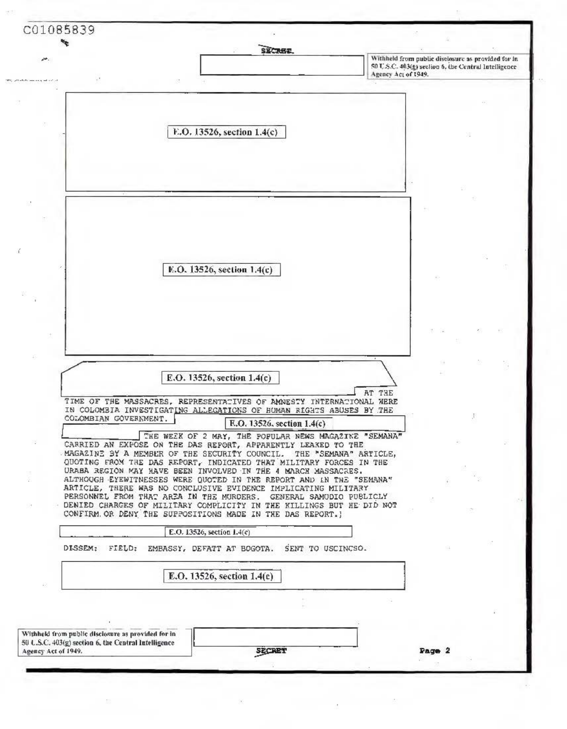C01085839 SECREE. Withheld from public disclosure as provided for in-50 U.S.C. 403(g) section 6, the Central Intelligence Agency Act of 1949. E.O. 13526, section 1.4(c) E.O. 13526, section 1.4(c) E.O. 13526, section 1.4(c) AT THE TIME OF THE MASSACRES. REPRESENTATIVES OF AMNESTY INTERNATIONAL WERE IN COLOMBIA INVESTIGATING ALLEGATIONS OF HUMAN RIGHTS ABUSES BY THE COLOMBIAN GOVERNMENT. E.O. 13526. section 1.4(c) THE WEIK OF 2 MAY, THE POPULAR NEWS MAGAZINE "SEMANA" CARRIED AN EXPOSE ON THE DAS REPORT, APPARENTLY LEAXED TO THE MAGAZINE BY A MEMBER OF THE SECURITY COUNCIL. THE "SEMANA" ARTICLE. QUOTING FROM THE DAS REPORT, INDICATED THAT MILITARY FORCES IN THE URABA REGIÓN MAY HAVE BEEN INVOLVED IN THE 4 MARCH MASSACRES. ALTHOUGH EYEWITNESSES WERE QUOTED IN THE REPORT AND IN THE "SEMANA" ARTICLE, THERE WAS NO CONCLUSIVE EVIDENCE IMPLICATING MILITARY PERSONNEL FROM THAT AREA IN THE MURDERS. GENERAL SAMUDIO PUBLICLY DENIED CHARGES OF MILITARY COMPLICITY IN THE KILLINGS BUT HE DID NOT CONFIRM OR DENY THE SUPPOSITIONS MADE IN THE DAS REPORT. ) E.O. 13526, section  $1.4(c)$ DISSEM: FIELD: EMBASSY, DEFATT AT BOGOTA. SENT TO USCINCSO. E.O. 13526, section 1.4(c) Withheld from public disclosure as provided for in-50 L.S.C. 403(g) section 6, the Central Intelligence SECRET Agency Act of 1949. Page 2